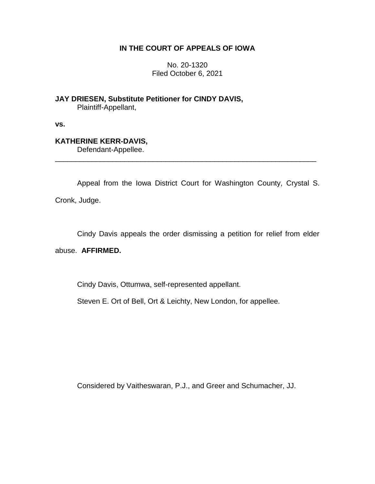# **IN THE COURT OF APPEALS OF IOWA**

No. 20-1320 Filed October 6, 2021

**JAY DRIESEN, Substitute Petitioner for CINDY DAVIS,** Plaintiff-Appellant,

**vs.**

# **KATHERINE KERR-DAVIS,**

Defendant-Appellee.

Appeal from the Iowa District Court for Washington County, Crystal S. Cronk, Judge.

\_\_\_\_\_\_\_\_\_\_\_\_\_\_\_\_\_\_\_\_\_\_\_\_\_\_\_\_\_\_\_\_\_\_\_\_\_\_\_\_\_\_\_\_\_\_\_\_\_\_\_\_\_\_\_\_\_\_\_\_\_\_\_\_

Cindy Davis appeals the order dismissing a petition for relief from elder

## abuse. **AFFIRMED.**

Cindy Davis, Ottumwa, self-represented appellant.

Steven E. Ort of Bell, Ort & Leichty, New London, for appellee.

Considered by Vaitheswaran, P.J., and Greer and Schumacher, JJ.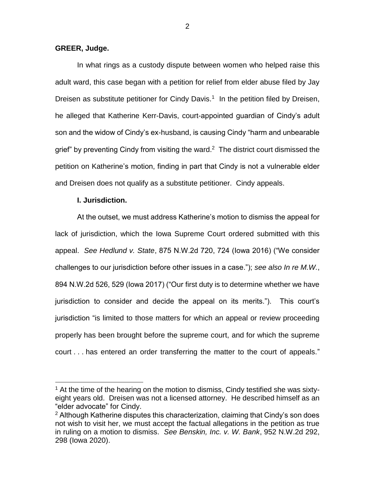#### **GREER, Judge.**

In what rings as a custody dispute between women who helped raise this adult ward, this case began with a petition for relief from elder abuse filed by Jay Dreisen as substitute petitioner for Cindy Davis.<sup>1</sup> In the petition filed by Dreisen, he alleged that Katherine Kerr-Davis, court-appointed guardian of Cindy's adult son and the widow of Cindy's ex-husband, is causing Cindy "harm and unbearable grief" by preventing Cindy from visiting the ward.<sup>2</sup> The district court dismissed the petition on Katherine's motion, finding in part that Cindy is not a vulnerable elder and Dreisen does not qualify as a substitute petitioner. Cindy appeals.

### **I. Jurisdiction.**

 $\overline{a}$ 

At the outset, we must address Katherine's motion to dismiss the appeal for lack of jurisdiction, which the Iowa Supreme Court ordered submitted with this appeal. *See Hedlund v. State*, 875 N.W.2d 720, 724 (Iowa 2016) ("We consider challenges to our jurisdiction before other issues in a case."); *see also In re M.W.*, 894 N.W.2d 526, 529 (Iowa 2017) ("Our first duty is to determine whether we have jurisdiction to consider and decide the appeal on its merits."). This court's jurisdiction "is limited to those matters for which an appeal or review proceeding properly has been brought before the supreme court, and for which the supreme court . . . has entered an order transferring the matter to the court of appeals."

2

 $<sup>1</sup>$  At the time of the hearing on the motion to dismiss, Cindy testified she was sixty-</sup> eight years old. Dreisen was not a licensed attorney. He described himself as an "elder advocate" for Cindy.

 $2$  Although Katherine disputes this characterization, claiming that Cindy's son does not wish to visit her, we must accept the factual allegations in the petition as true in ruling on a motion to dismiss. *See Benskin, Inc. v. W. Bank*, 952 N.W.2d 292, 298 (Iowa 2020).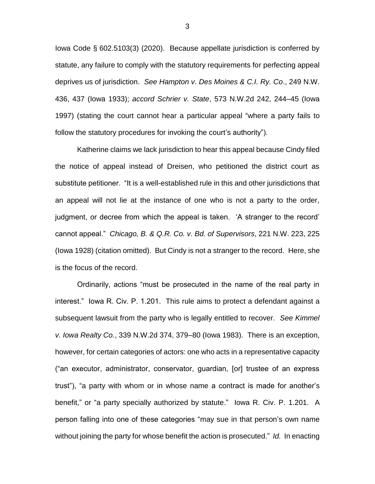Iowa Code § 602.5103(3) (2020). Because appellate jurisdiction is conferred by statute, any failure to comply with the statutory requirements for perfecting appeal deprives us of jurisdiction. *See Hampton v. Des Moines & C.I. Ry. Co*., 249 N.W. 436, 437 (Iowa 1933); *accord Schrier v. State*, 573 N.W.2d 242, 244–45 (Iowa 1997) (stating the court cannot hear a particular appeal "where a party fails to follow the statutory procedures for invoking the court's authority").

Katherine claims we lack jurisdiction to hear this appeal because Cindy filed the notice of appeal instead of Dreisen, who petitioned the district court as substitute petitioner. "It is a well-established rule in this and other jurisdictions that an appeal will not lie at the instance of one who is not a party to the order, judgment, or decree from which the appeal is taken. 'A stranger to the record' cannot appeal." *Chicago, B. & Q.R. Co. v. Bd. of Supervisors*, 221 N.W. 223, 225 (Iowa 1928) (citation omitted). But Cindy is not a stranger to the record. Here, she is the focus of the record.

Ordinarily, actions "must be prosecuted in the name of the real party in interest." Iowa R. Civ. P. 1.201. This rule aims to protect a defendant against a subsequent lawsuit from the party who is legally entitled to recover. *See Kimmel v. Iowa Realty Co.*, 339 N.W.2d 374, 379–80 (Iowa 1983). There is an exception, however, for certain categories of actors: one who acts in a representative capacity ("an executor, administrator, conservator, guardian, [or] trustee of an express trust"), "a party with whom or in whose name a contract is made for another's benefit," or "a party specially authorized by statute." Iowa R. Civ. P. 1.201.A person falling into one of these categories "may sue in that person's own name without joining the party for whose benefit the action is prosecuted." *Id.* In enacting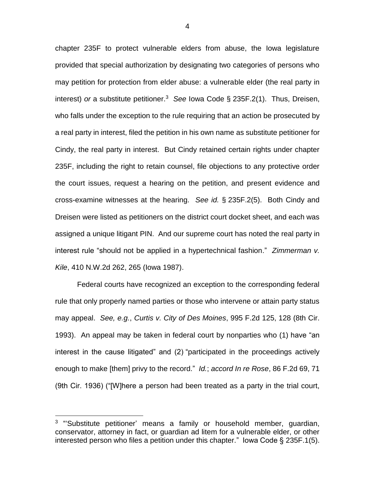chapter 235F to protect vulnerable elders from abuse, the Iowa legislature provided that special authorization by designating two categories of persons who may petition for protection from elder abuse: a vulnerable elder (the real party in interest) *or* a substitute petitioner.<sup>3</sup> *See* Iowa Code § 235F.2(1). Thus, Dreisen, who falls under the exception to the rule requiring that an action be prosecuted by a real party in interest, filed the petition in his own name as substitute petitioner for Cindy, the real party in interest. But Cindy retained certain rights under chapter 235F, including the right to retain counsel, file objections to any protective order the court issues, request a hearing on the petition, and present evidence and cross-examine witnesses at the hearing. *See id.* § 235F.2(5). Both Cindy and Dreisen were listed as petitioners on the district court docket sheet, and each was assigned a unique litigant PIN. And our supreme court has noted the real party in interest rule "should not be applied in a hypertechnical fashion." *Zimmerman v. Kile*, 410 N.W.2d 262, 265 (Iowa 1987).

Federal courts have recognized an exception to the corresponding federal rule that only properly named parties or those who intervene or attain party status may appeal. *See, e.g.*, *Curtis v. City of Des Moines*, 995 F.2d 125, 128 (8th Cir. 1993). An appeal may be taken in federal court by nonparties who (1) have "an interest in the cause litigated" and (2) "participated in the proceedings actively enough to make [them] privy to the record." *Id.*; *accord In re Rose*, 86 F.2d 69, 71 (9th Cir. 1936) ("[W]here a person had been treated as a party in the trial court,

 $\overline{a}$ 

<sup>&</sup>lt;sup>3</sup> "Substitute petitioner' means a family or household member, guardian, conservator, attorney in fact, or guardian ad litem for a vulnerable elder, or other interested person who files a petition under this chapter." Iowa Code § 235F.1(5).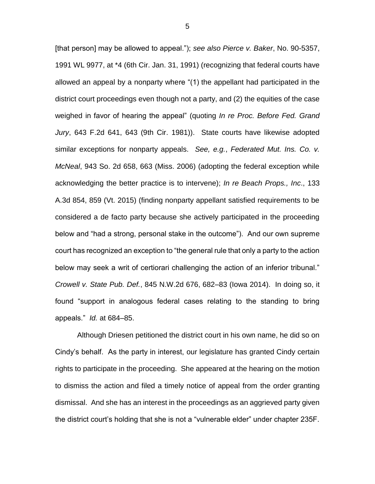[that person] may be allowed to appeal."); *see also Pierce v. Baker*, No. 90-5357, 1991 WL 9977, at \*4 (6th Cir. Jan. 31, 1991) (recognizing that federal courts have allowed an appeal by a nonparty where "(1) the appellant had participated in the district court proceedings even though not a party, and (2) the equities of the case weighed in favor of hearing the appeal" (quoting *In re Proc. Before Fed. Grand Jury*, 643 F.2d 641, 643 (9th Cir. 1981)). State courts have likewise adopted similar exceptions for nonparty appeals. *See, e.g.*, *Federated Mut. Ins. Co. v. McNeal*, 943 So. 2d 658, 663 (Miss. 2006) (adopting the federal exception while acknowledging the better practice is to intervene); *In re Beach Props., Inc*., 133 A.3d 854, 859 (Vt. 2015) (finding nonparty appellant satisfied requirements to be considered a de facto party because she actively participated in the proceeding below and "had a strong, personal stake in the outcome"). And our own supreme court has recognized an exception to "the general rule that only a party to the action below may seek a writ of certiorari challenging the action of an inferior tribunal." *Crowell v. State Pub. Def.*, 845 N.W.2d 676, 682–83 (Iowa 2014). In doing so, it found "support in analogous federal cases relating to the standing to bring appeals." *Id.* at 684–85.

Although Driesen petitioned the district court in his own name, he did so on Cindy's behalf. As the party in interest, our legislature has granted Cindy certain rights to participate in the proceeding. She appeared at the hearing on the motion to dismiss the action and filed a timely notice of appeal from the order granting dismissal. And she has an interest in the proceedings as an aggrieved party given the district court's holding that she is not a "vulnerable elder" under chapter 235F.

5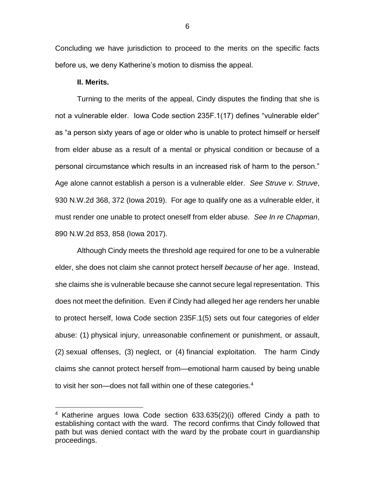Concluding we have jurisdiction to proceed to the merits on the specific facts before us, we deny Katherine's motion to dismiss the appeal.

### **II. Merits.**

 $\overline{a}$ 

Turning to the merits of the appeal, Cindy disputes the finding that she is not a vulnerable elder. Iowa Code section 235F.1(17) defines "vulnerable elder" as "a person sixty years of age or older who is unable to protect himself or herself from elder abuse as a result of a mental or physical condition or because of a personal circumstance which results in an increased risk of harm to the person." Age alone cannot establish a person is a vulnerable elder. *See Struve v. Struve*, 930 N.W.2d 368, 372 (Iowa 2019). For age to qualify one as a vulnerable elder, it must render one unable to protect oneself from elder abuse. *See In re Chapman*, 890 N.W.2d 853, 858 (Iowa 2017).

Although Cindy meets the threshold age required for one to be a vulnerable elder, she does not claim she cannot protect herself *because of* her age. Instead, she claims she is vulnerable because she cannot secure legal representation. This does not meet the definition. Even if Cindy had alleged her age renders her unable to protect herself, Iowa Code section 235F.1(5) sets out four categories of elder abuse: (1) physical injury, unreasonable confinement or punishment, or assault, (2) sexual offenses, (3) neglect, or (4) financial exploitation. The harm Cindy claims she cannot protect herself from—emotional harm caused by being unable to visit her son—does not fall within one of these categories.<sup>4</sup>

 $4$  Katherine argues Iowa Code section 633.635(2)(i) offered Cindy a path to establishing contact with the ward. The record confirms that Cindy followed that path but was denied contact with the ward by the probate court in guardianship proceedings.